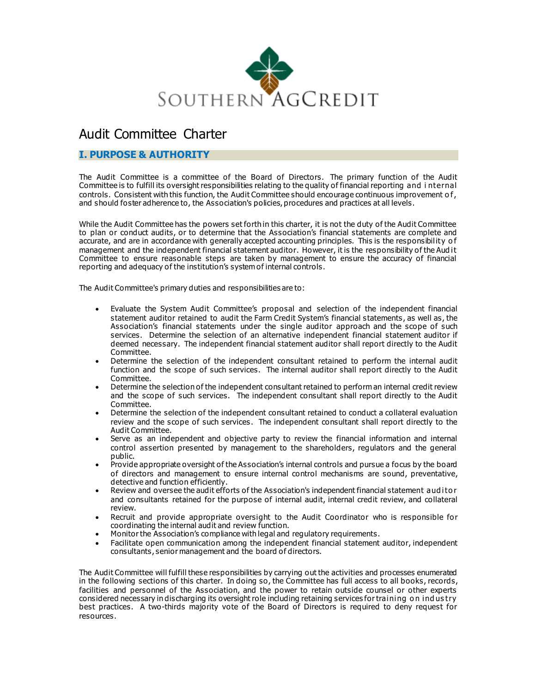

# Audit Committee Charter

# **I. PURPOSE & AUTHORITY**

The Audit Committee is a committee of the Board of Directors. The primary function of the Audit Committee is to fulfill its oversight responsibilities relating to the quality of financial reporting and i nternal controls. Consistent with this function, the Audit Committee should encourage continuous improvement of, and should foster adherence to, the Association's policies, procedures and practices at all levels.

While the Audit Committee has the powers set forth in this charter, it is not the duty of the Audit Committee to plan or conduct audits, or to determine that the Association's financial statements are complete and accurate, and are in accordance with generally accepted accounting principles. This is the responsibility of management and the independent financial statement auditor. However, it is the responsibility of the Aud it Committee to ensure reasonable steps are taken by management to ensure the accuracy of financial reporting and adequacy of the institution's system of internal controls.

The Audit Committee's primary duties and responsibilities are to:

- Evaluate the System Audit Committee's proposal and selection of the independent financial statement auditor retained to audit the Farm Credit System's financial statements , as well as, the Association's financial statements under the single auditor approach and the scope of such services. Determine the selection of an alternative independent financial statement auditor if deemed necessary. The independent financial statement auditor shall report directly to the Audit Committee.
- Determine the selection of the independent consultant retained to perform the internal audit function and the scope of such services. The internal auditor shall report directly to the Audit Committee.
- Determine the selection of the independent consultant retained to perform an internal credit review and the scope of such services. The independent consultant shall report directly to the Audit Committee.
- Determine the selection of the independent consultant retained to conduct a collateral evaluation review and the scope of such services . The independent consultant shall report directly to the Audit Committee.
- Serve as an independent and objective party to review the financial information and internal control assertion presented by management to the shareholders, regulators and the general public.
- Provide appropriate oversight of the Association's internal controls and pursue a focus by the board of directors and management to ensure internal control mechanisms are sound, preventative, detective and function efficiently.
- Review and oversee the audit efforts of the Association's independent financial statement auditor and consultants retained for the purpose of internal audit, internal credit review, and collateral review.
- Recruit and provide appropriate oversight to the Audit Coordinator who is responsible for coordinating the internal audit and review function.
- Monitor the Association's compliance with legal and regulatory requirements.
- Facilitate open communication among the independent financial statement auditor, independent consultants , senior management and the board of directors.

The Audit Committee will fulfill these responsibilities by carrying out the activities and processes enumerated in the following sections of this charter. In doing so, the Committee has full access to all books, records, facilities and personnel of the Association, and the power to retain outside counsel or other experts considered necessary in discharging its oversight role including retaining services for training o n ind us try best practices. A two-thirds majority vote of the Board of Directors is required to deny request for resources.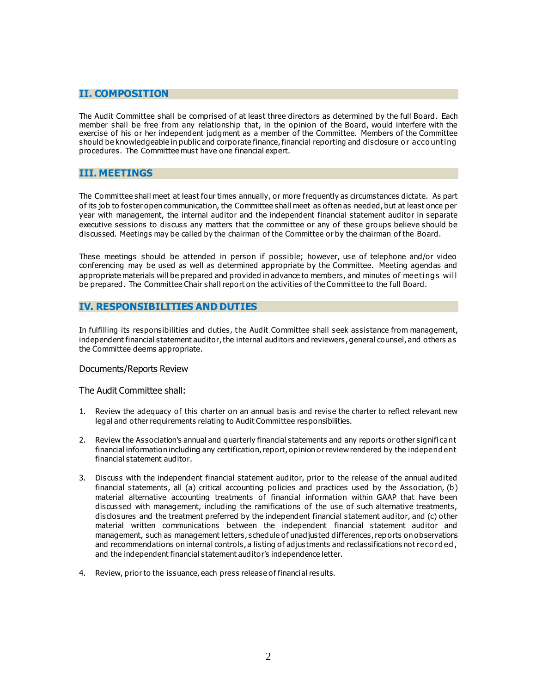## **II. COMPOSITION**

The Audit Committee shall be comprised of at least three directors as determined by the full Board. Each member shall be free from any relationship that, in the opinion of the Board, would interfere with the exercise of his or her independent judgment as a member of the Committee. Members of the Committee should be knowledgeable in public and corporate finance, financial reporting and disclosure or accounting procedures. The Committee must have one financial expert.

## **III. MEETINGS**

The Committee shall meet at least four times annually, or more frequently as circumstances dictate. As part of its job to foster open communication, the Committee shall meet as often as needed, but at least once per year with management, the internal auditor and the independent financial statement auditor in separate executive sessions to discuss any matters that the committee or any of these groups believe should be discussed. Meetings may be called by the chairman of the Committee or by the chairman of the Board.

These meetings should be attended in person if possible; however, use of telephone and/or video conferencing may be used as well as determined appropriate by the Committee. Meeting agendas and appropriate materials will be prepared and provided in advance to members, and minutes of meetings will be prepared. The Committee Chair shall report on the activities of the Committee to the full Board.

## **IV. RESPONSIBILITIES AND DUTIES**

In fulfilling its responsibilities and duties, the Audit Committee shall seek assistance from management, independent financial statement auditor, the internal auditors and reviewers , general counsel, and others as the Committee deems appropriate.

#### Documents/Reports Review

The Audit Committee shall:

- 1. Review the adequacy of this charter on an annual basis and revise the charter to reflect relevant new legal and other requirements relating to Audit Committee responsibilities.
- 2. Review the Association's annual and quarterly financial statements and any reports or other significant financial information including any certification, report, opinion or review rendered by the independ ent financial statement auditor.
- 3. Discuss with the independent financial statement auditor, prior to the release of the annual audited financial statements, all (a) critical accounting policies and practices used by the Association, (b) material alternative accounting treatments of financial information within GAAP that have been discussed with management, including the ramifications of the use of such alternative treatments, disclosures and the treatment preferred by the independent financial statement auditor, and (c) other material written communications between the independent financial statement auditor and management, such as management letters, schedule of unadjusted differences, rep orts on observations and recommendations on internal controls, a listing of adjustments and reclassifications not recorded, and the independent financial statement auditor's independence letter.
- 4. Review, prior to the issuance, each press release of financial results.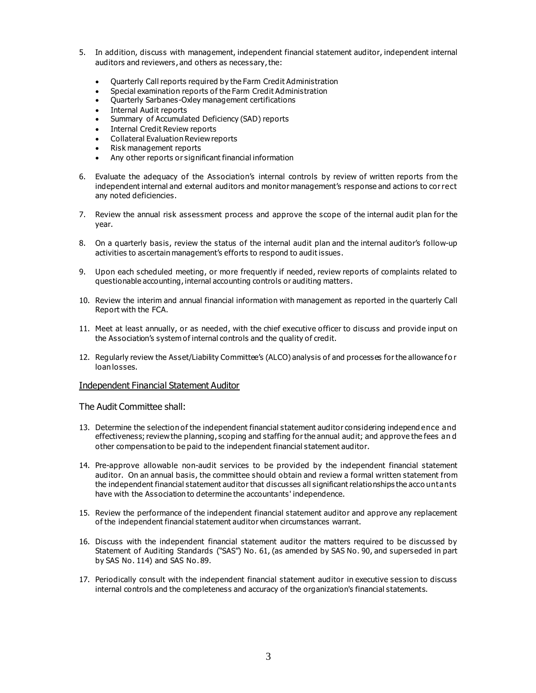- 5. In addition, discuss with management, independent financial statement auditor, independent internal auditors and reviewers , and others as necessary, the:
	- Quarterly Call reports required by the Farm Credit Administration
	- Special examination reports of the Farm Credit Administration
	- Quarterly Sarbanes-Oxley management certifications
	- Internal Audit reports
	- Summary of Accumulated Deficiency (SAD) reports
	- Internal Credit Review reports
	- Collateral Evaluation Review reports
	- Risk management reports
	- Any other reports or significant financial information
- 6. Evaluate the adequacy of the Association's internal controls by review of written reports from the independent internal and external auditors and monitor management's response and actions to correct any noted deficiencies.
- 7. Review the annual risk assessment process and approve the scope of the internal audit plan for the year.
- 8. On a quarterly basis, review the status of the internal audit plan and the internal auditor's follow-up activities to as certain management's efforts to respond to audit issues.
- 9. Upon each scheduled meeting, or more frequently if needed, review reports of complaints related to questionable accounting, internal accounting controls or auditing matters.
- 10. Review the interim and annual financial information with management as reported in the quarterly Call Report with the FCA.
- 11. Meet at least annually, or as needed, with the chief executive officer to discuss and provide input on the Association's system of internal controls and the quality of credit.
- 12. Regularly review the Asset/Liability Committee's (ALCO) analysis of and processes for the allowance fo r loan losses.

#### Independent Financial Statement Auditor

The Audit Committee shall:

- 13. Determine the selection of the independent financial statement auditor considering independ ence and effectiveness; review the planning, scoping and staffing for the annual audit; and approve the fees an d other compensation to be paid to the independent financial statement auditor.
- 14. Pre-approve allowable non-audit services to be provided by the independent financial statement auditor. On an annual basis, the committee should obtain and review a formal written statement from the independent financial statement auditor that discusses all significant relationships the acco untants have with the Association to determine the accountants' independence.
- 15. Review the performance of the independent financial statement auditor and approve any replacement of the independent financial statement auditor when circumstances warrant.
- 16. Discuss with the independent financial statement auditor the matters required to be discussed by Statement of Auditing Standards ("SAS") No. 61, (as amended by SAS No. 90, and superseded in part by SAS No. 114) and SAS No. 89.
- 17. Periodically consult with the independent financial statement auditor in executive session to discuss internal controls and the completeness and accuracy of the organization's financial statements.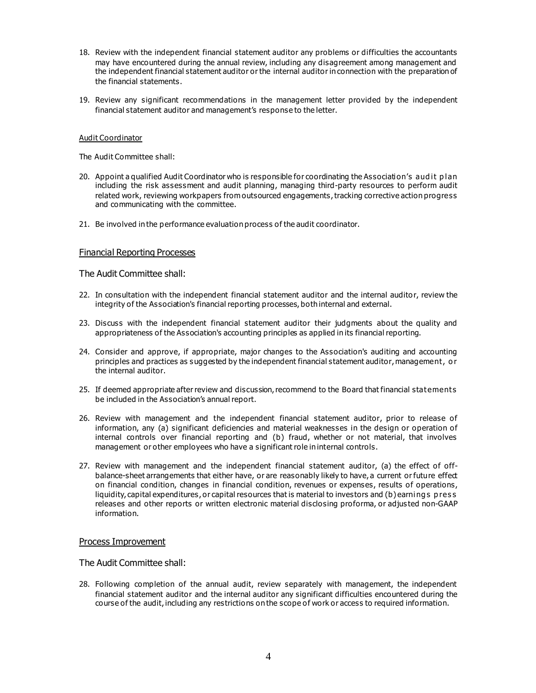- 18. Review with the independent financial statement auditor any problems or difficulties the accountants may have encountered during the annual review, including any disagreement among management and the independent financial statement auditor or the internal auditor in connection with the preparation of the financial statements.
- 19. Review any significant recommendations in the management letter provided by the independent financial statement auditor and management's response to the letter.

#### Audit Coordinator

The Audit Committee shall:

- 20. Appoint a qualified Audit Coordinator who is responsible for coordinating the Association's aud it p lan including the risk assessment and audit planning, managing third-party resources to perform audit related work, reviewing workpapers from outsourced engagements, tracking corrective action progress and communicating with the committee.
- 21. Be involved in the performance evaluation process of the audit coordinator.

## Financial Reporting Processes

The Audit Committee shall:

- 22. In consultation with the independent financial statement auditor and the internal auditor, review the integrity of the Association's financial reporting processes, both internal and external.
- 23. Discuss with the independent financial statement auditor their judgments about the quality and appropriateness of the Association's accounting principles as applied in its financial reporting.
- 24. Consider and approve, if appropriate, major changes to the Association's auditing and accounting principles and practices as suggested by the independent financial statement auditor, management, o r the internal auditor.
- 25. If deemed appropriate after review and discussion, recommend to the Board that financial statements be included in the Association's annual report.
- 26. Review with management and the independent financial statement auditor, prior to release of information, any (a) significant deficiencies and material weaknesses in the design or operation of internal controls over financial reporting and (b) fraud, whether or not material, that involves management or other employees who have a significant role in internal controls.
- 27. Review with management and the independent financial statement auditor, (a) the effect of offbalance-sheet arrangements that either have, or are reasonably likely to have, a current or future effect on financial condition, changes in financial condition, revenues or expenses, results of operations, liquidity, capital expenditures , or capital resources that is material to investors and (b) earning s p res s releases and other reports or written electronic material disclosing proforma, or adjus ted non-GAAP information.

#### Process Improvement

The Audit Committee shall:

28. Following completion of the annual audit, review separately with management, the independent financial statement auditor and the internal auditor any significant difficulties encountered during the course of the audit, including any restrictions on the scope of work or access to required information.